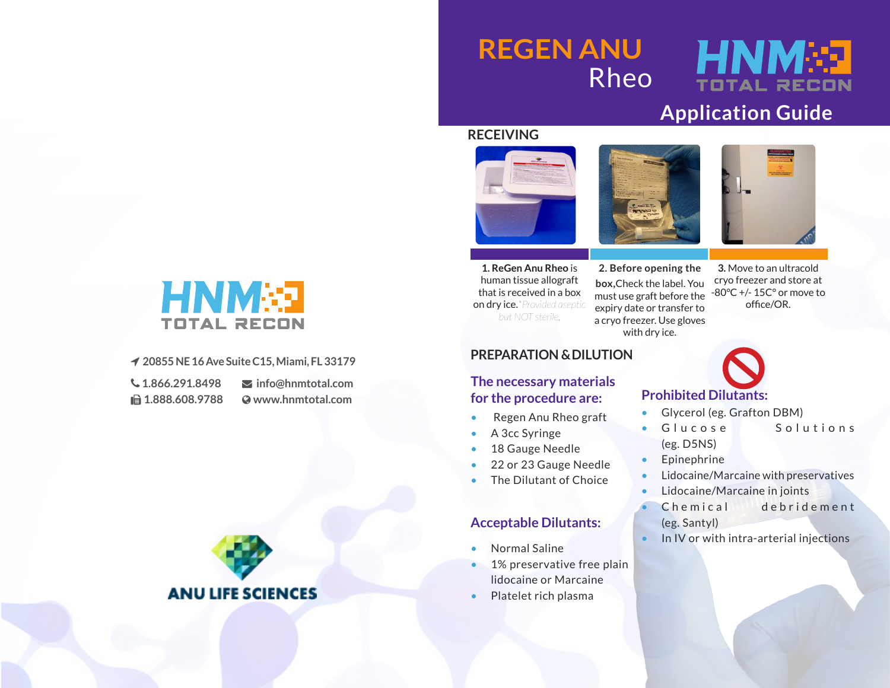## **REGEN ANU** Rheo

# HNM

### **Application Guide**

#### **RECEIVING**







**1. ReGen Anu Rheo** is human tissue allograft that is received in a box on dry ice.*\*Provided aseptic but NOT sterile.*

**2. Before opening the box,**Check the label. You must use graft before the expiry date or transfer to a cryo freezer. Use gloves with dry ice.

#### **3.** Move to an ultracold cryo freezer and store at -80°C +/- 15C° or move to office/OR.

## **Prohibited Dilutants:**

- Glycerol (eg. Grafton DBM)
- Glucose Solutions (eg. D5NS)
- **Epinephrine**
- Lidocaine/Marcaine with preservatives
- Lidocaine/Marcaine in joints
- Chemical debridement (eg. Santyl)
- In IV or with intra-arterial injections Normal Saline



#### **20855 NE 16 Ave Suite C15, Miami, FL 33179**

 **1.866.291.8498 1.888.608.9788**  **info@hnmtotal.com www.hnmtotal.com**



### **PREPARATION & DILUTION**

#### **The necessary materials for the procedure are:**

- Regen Anu Rheo graft
- A 3cc Syringe
- 18 Gauge Needle
- 22 or 23 Gauge Needle
- The Dilutant of Choice

#### **Acceptable Dilutants:**

- 
- 1% preservative free plain lidocaine or Marcaine
- Platelet rich plasma